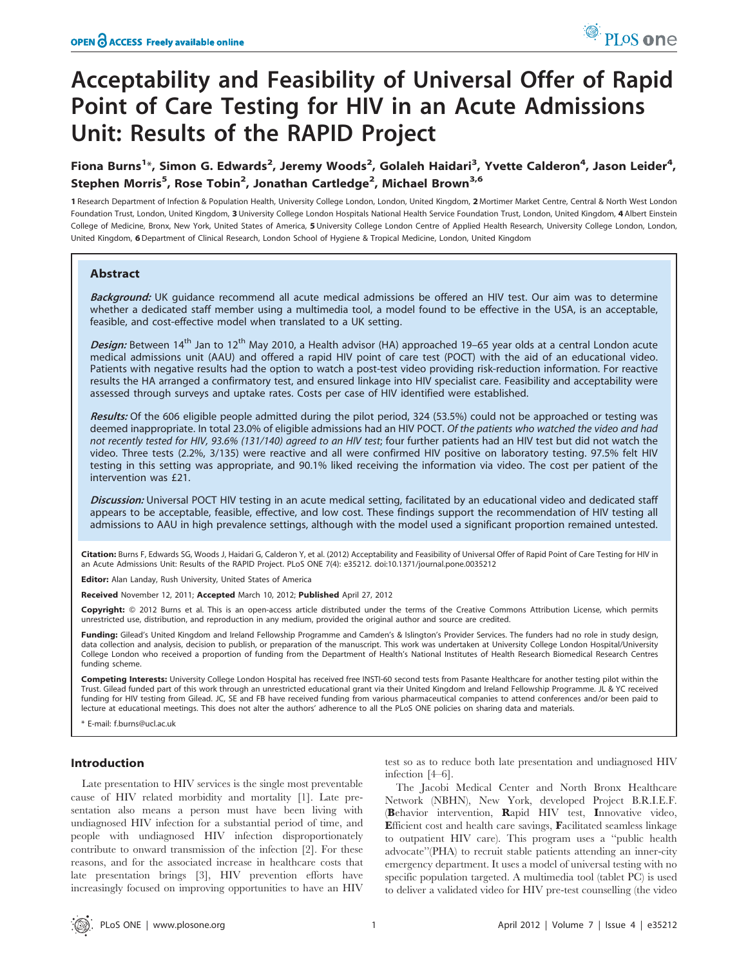# Acceptability and Feasibility of Universal Offer of Rapid Point of Care Testing for HIV in an Acute Admissions Unit: Results of the RAPID Project

Fiona Burns<sup>1\*</sup>, Simon G. Edwards<sup>2</sup>, Jeremy Woods<sup>2</sup>, Golaleh Haidari<sup>3</sup>, Yvette Calderon<sup>4</sup>, Jason Leider<sup>4</sup>, Stephen Morris<sup>5</sup>, Rose Tobin<sup>2</sup>, Jonathan Cartledge<sup>2</sup>, Michael Brown<sup>3,6</sup>

1 Research Department of Infection & Population Health, University College London, London, United Kingdom, 2 Mortimer Market Centre, Central & North West London Foundation Trust, London, United Kingdom, 3 University College London Hospitals National Health Service Foundation Trust, London, United Kingdom, 4 Albert Einstein College of Medicine, Bronx, New York, United States of America, 5 University College London Centre of Applied Health Research, University College London, London, United Kingdom, 6 Department of Clinical Research, London School of Hygiene & Tropical Medicine, London, United Kingdom

# Abstract

Background: UK guidance recommend all acute medical admissions be offered an HIV test. Our aim was to determine whether a dedicated staff member using a multimedia tool, a model found to be effective in the USA, is an acceptable, feasible, and cost-effective model when translated to a UK setting.

Design: Between 14<sup>th</sup> Jan to 12<sup>th</sup> May 2010, a Health advisor (HA) approached 19–65 year olds at a central London acute medical admissions unit (AAU) and offered a rapid HIV point of care test (POCT) with the aid of an educational video. Patients with negative results had the option to watch a post-test video providing risk-reduction information. For reactive results the HA arranged a confirmatory test, and ensured linkage into HIV specialist care. Feasibility and acceptability were assessed through surveys and uptake rates. Costs per case of HIV identified were established.

Results: Of the 606 eligible people admitted during the pilot period, 324 (53.5%) could not be approached or testing was deemed inappropriate. In total 23.0% of eligible admissions had an HIV POCT. Of the patients who watched the video and had not recently tested for HIV, 93.6% (131/140) agreed to an HIV test; four further patients had an HIV test but did not watch the video. Three tests (2.2%, 3/135) were reactive and all were confirmed HIV positive on laboratory testing. 97.5% felt HIV testing in this setting was appropriate, and 90.1% liked receiving the information via video. The cost per patient of the intervention was £21.

Discussion: Universal POCT HIV testing in an acute medical setting, facilitated by an educational video and dedicated staff appears to be acceptable, feasible, effective, and low cost. These findings support the recommendation of HIV testing all admissions to AAU in high prevalence settings, although with the model used a significant proportion remained untested.

Citation: Burns F, Edwards SG, Woods J, Haidari G, Calderon Y, et al. (2012) Acceptability and Feasibility of Universal Offer of Rapid Point of Care Testing for HIV in an Acute Admissions Unit: Results of the RAPID Project. PLoS ONE 7(4): e35212. doi:10.1371/journal.pone.0035212

Editor: Alan Landay, Rush University, United States of America

Received November 12, 2011; Accepted March 10, 2012; Published April 27, 2012

Copyright: © 2012 Burns et al. This is an open-access article distributed under the terms of the Creative Commons Attribution License, which permits unrestricted use, distribution, and reproduction in any medium, provided the original author and source are credited.

Funding: Gilead's United Kingdom and Ireland Fellowship Programme and Camden's & Islington's Provider Services. The funders had no role in study design, data collection and analysis, decision to publish, or preparation of the manuscript. This work was undertaken at University College London Hospital/University College London who received a proportion of funding from the Department of Health's National Institutes of Health Research Biomedical Research Centres funding scheme.

Competing Interests: University College London Hospital has received free INSTI-60 second tests from Pasante Healthcare for another testing pilot within the Trust. Gilead funded part of this work through an unrestricted educational grant via their United Kingdom and Ireland Fellowship Programme. JL & YC received funding for HIV testing from Gilead. JC, SE and FB have received funding from various pharmaceutical companies to attend conferences and/or been paid to lecture at educational meetings. This does not alter the authors' adherence to all the PLoS ONE policies on sharing data and materials.

\* E-mail: f.burns@ucl.ac.uk

## Introduction

Late presentation to HIV services is the single most preventable cause of HIV related morbidity and mortality [1]. Late presentation also means a person must have been living with undiagnosed HIV infection for a substantial period of time, and people with undiagnosed HIV infection disproportionately contribute to onward transmission of the infection [2]. For these reasons, and for the associated increase in healthcare costs that late presentation brings [3], HIV prevention efforts have increasingly focused on improving opportunities to have an HIV

test so as to reduce both late presentation and undiagnosed HIV infection [4–6].

The Jacobi Medical Center and North Bronx Healthcare Network (NBHN), New York, developed Project B.R.I.E.F. (Behavior intervention, Rapid HIV test, Innovative video, Efficient cost and health care savings, Facilitated seamless linkage to outpatient HIV care). This program uses a ''public health advocate''(PHA) to recruit stable patients attending an inner-city emergency department. It uses a model of universal testing with no specific population targeted. A multimedia tool (tablet PC) is used to deliver a validated video for HIV pre-test counselling (the video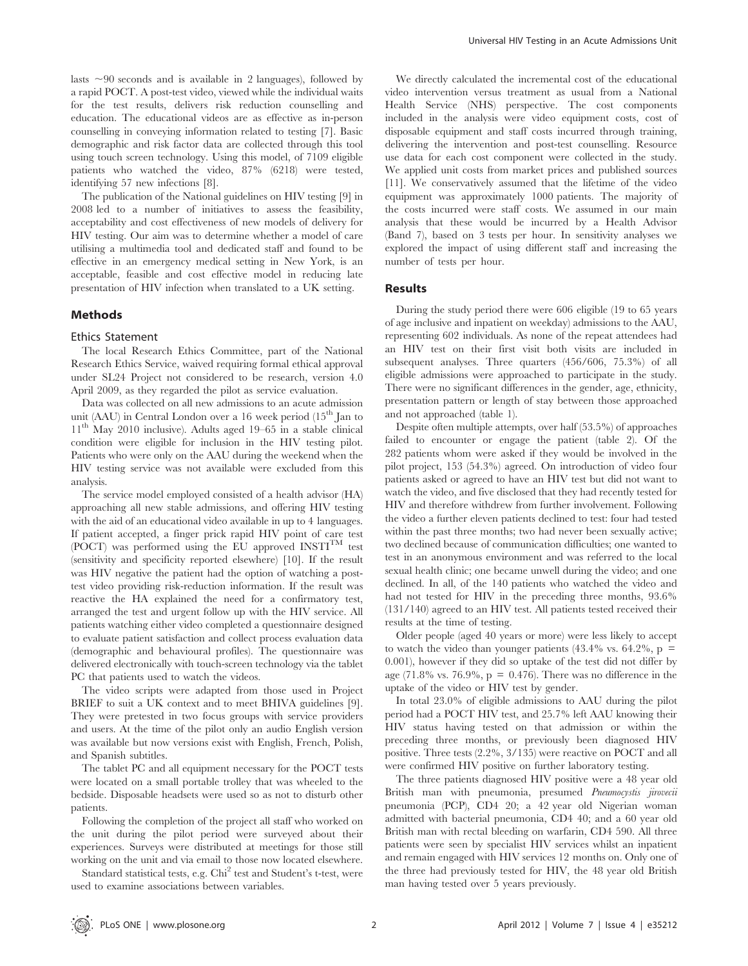lasts  $\sim 90$  seconds and is available in 2 languages), followed by a rapid POCT. A post-test video, viewed while the individual waits for the test results, delivers risk reduction counselling and education. The educational videos are as effective as in-person counselling in conveying information related to testing [7]. Basic demographic and risk factor data are collected through this tool using touch screen technology. Using this model, of 7109 eligible patients who watched the video, 87% (6218) were tested, identifying 57 new infections [8].

The publication of the National guidelines on HIV testing [9] in 2008 led to a number of initiatives to assess the feasibility, acceptability and cost effectiveness of new models of delivery for HIV testing. Our aim was to determine whether a model of care utilising a multimedia tool and dedicated staff and found to be effective in an emergency medical setting in New York, is an acceptable, feasible and cost effective model in reducing late presentation of HIV infection when translated to a UK setting.

## Methods

# Ethics Statement

The local Research Ethics Committee, part of the National Research Ethics Service, waived requiring formal ethical approval under SL24 Project not considered to be research, version 4.0 April 2009, as they regarded the pilot as service evaluation.

Data was collected on all new admissions to an acute admission unit (AAU) in Central London over a 16 week period (15<sup>th</sup> Jan to 11th May 2010 inclusive). Adults aged 19–65 in a stable clinical condition were eligible for inclusion in the HIV testing pilot. Patients who were only on the AAU during the weekend when the HIV testing service was not available were excluded from this analysis.

The service model employed consisted of a health advisor (HA) approaching all new stable admissions, and offering HIV testing with the aid of an educational video available in up to 4 languages. If patient accepted, a finger prick rapid HIV point of care test (POCT) was performed using the EU approved  $INSTI^{TM}$  test (sensitivity and specificity reported elsewhere) [10]. If the result was HIV negative the patient had the option of watching a posttest video providing risk-reduction information. If the result was reactive the HA explained the need for a confirmatory test, arranged the test and urgent follow up with the HIV service. All patients watching either video completed a questionnaire designed to evaluate patient satisfaction and collect process evaluation data (demographic and behavioural profiles). The questionnaire was delivered electronically with touch-screen technology via the tablet PC that patients used to watch the videos.

The video scripts were adapted from those used in Project BRIEF to suit a UK context and to meet BHIVA guidelines [9]. They were pretested in two focus groups with service providers and users. At the time of the pilot only an audio English version was available but now versions exist with English, French, Polish, and Spanish subtitles.

The tablet PC and all equipment necessary for the POCT tests were located on a small portable trolley that was wheeled to the bedside. Disposable headsets were used so as not to disturb other patients.

Following the completion of the project all staff who worked on the unit during the pilot period were surveyed about their experiences. Surveys were distributed at meetings for those still working on the unit and via email to those now located elsewhere.

Standard statistical tests, e.g. Chi<sup>2</sup> test and Student's t-test, were used to examine associations between variables.

We directly calculated the incremental cost of the educational video intervention versus treatment as usual from a National Health Service (NHS) perspective. The cost components included in the analysis were video equipment costs, cost of disposable equipment and staff costs incurred through training, delivering the intervention and post-test counselling. Resource use data for each cost component were collected in the study. We applied unit costs from market prices and published sources [11]. We conservatively assumed that the lifetime of the video equipment was approximately 1000 patients. The majority of the costs incurred were staff costs. We assumed in our main analysis that these would be incurred by a Health Advisor (Band 7), based on 3 tests per hour. In sensitivity analyses we explored the impact of using different staff and increasing the number of tests per hour.

## Results

During the study period there were 606 eligible (19 to 65 years of age inclusive and inpatient on weekday) admissions to the AAU, representing 602 individuals. As none of the repeat attendees had an HIV test on their first visit both visits are included in subsequent analyses. Three quarters (456/606, 75.3%) of all eligible admissions were approached to participate in the study. There were no significant differences in the gender, age, ethnicity, presentation pattern or length of stay between those approached and not approached (table 1).

Despite often multiple attempts, over half (53.5%) of approaches failed to encounter or engage the patient (table 2). Of the 282 patients whom were asked if they would be involved in the pilot project, 153 (54.3%) agreed. On introduction of video four patients asked or agreed to have an HIV test but did not want to watch the video, and five disclosed that they had recently tested for HIV and therefore withdrew from further involvement. Following the video a further eleven patients declined to test: four had tested within the past three months; two had never been sexually active; two declined because of communication difficulties; one wanted to test in an anonymous environment and was referred to the local sexual health clinic; one became unwell during the video; and one declined. In all, of the 140 patients who watched the video and had not tested for HIV in the preceding three months, 93.6% (131/140) agreed to an HIV test. All patients tested received their results at the time of testing.

Older people (aged 40 years or more) were less likely to accept to watch the video than younger patients  $(43.4\% \text{ vs. } 64.2\%, \text{ p} =$ 0.001), however if they did so uptake of the test did not differ by age (71.8% vs. 76.9%,  $p = 0.476$ ). There was no difference in the uptake of the video or HIV test by gender.

In total 23.0% of eligible admissions to AAU during the pilot period had a POCT HIV test, and 25.7% left AAU knowing their HIV status having tested on that admission or within the preceding three months, or previously been diagnosed HIV positive. Three tests (2.2%, 3/135) were reactive on POCT and all were confirmed HIV positive on further laboratory testing.

The three patients diagnosed HIV positive were a 48 year old British man with pneumonia, presumed Pneumocystis jirovecii pneumonia (PCP), CD4 20; a 42 year old Nigerian woman admitted with bacterial pneumonia, CD4 40; and a 60 year old British man with rectal bleeding on warfarin, CD4 590. All three patients were seen by specialist HIV services whilst an inpatient and remain engaged with HIV services 12 months on. Only one of the three had previously tested for HIV, the 48 year old British man having tested over 5 years previously.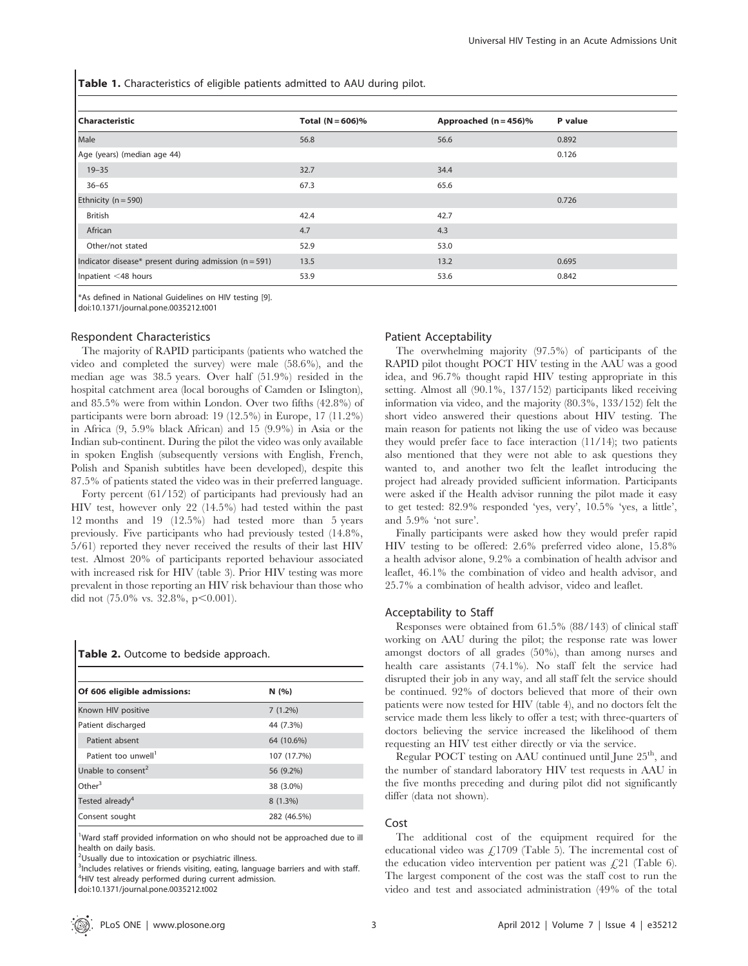Table 1. Characteristics of eligible patients admitted to AAU during pilot.

| Characteristic                                            | Total $(N = 606)$ % | Approached $(n = 456)\%$ | P value |
|-----------------------------------------------------------|---------------------|--------------------------|---------|
| Male                                                      | 56.8                | 56.6                     | 0.892   |
| Age (years) (median age 44)                               |                     |                          | 0.126   |
| $19 - 35$                                                 | 32.7                | 34.4                     |         |
| $36 - 65$                                                 | 67.3                | 65.6                     |         |
| Ethnicity ( $n = 590$ )                                   |                     |                          | 0.726   |
| <b>British</b>                                            | 42.4                | 42.7                     |         |
| African                                                   | 4.7                 | 4.3                      |         |
| Other/not stated                                          | 52.9                | 53.0                     |         |
| Indicator disease* present during admission ( $n = 591$ ) | 13.5                | 13.2                     | 0.695   |
| Inpatient <48 hours                                       | 53.9                | 53.6                     | 0.842   |

\*As defined in National Guidelines on HIV testing [9].

doi:10.1371/journal.pone.0035212.t001

# Respondent Characteristics

The majority of RAPID participants (patients who watched the video and completed the survey) were male (58.6%), and the median age was 38.5 years. Over half (51.9%) resided in the hospital catchment area (local boroughs of Camden or Islington), and 85.5% were from within London. Over two fifths (42.8%) of participants were born abroad: 19 (12.5%) in Europe, 17 (11.2%) in Africa (9, 5.9% black African) and 15 (9.9%) in Asia or the Indian sub-continent. During the pilot the video was only available in spoken English (subsequently versions with English, French, Polish and Spanish subtitles have been developed), despite this 87.5% of patients stated the video was in their preferred language.

Forty percent (61/152) of participants had previously had an HIV test, however only 22 (14.5%) had tested within the past 12 months and 19 (12.5%) had tested more than 5 years previously. Five participants who had previously tested (14.8%, 5/61) reported they never received the results of their last HIV test. Almost 20% of participants reported behaviour associated with increased risk for HIV (table 3). Prior HIV testing was more prevalent in those reporting an HIV risk behaviour than those who did not  $(75.0\% \text{ vs. } 32.8\%, \text{ p} \leq 0.001)$ .

# Table 2. Outcome to bedside approach.

| Of 606 eligible admissions:     | N (%)       |
|---------------------------------|-------------|
| Known HIV positive              | $7(1.2\%)$  |
| Patient discharged              | 44 (7.3%)   |
| Patient absent                  | 64 (10.6%)  |
| Patient too unwell <sup>1</sup> | 107 (17.7%) |
| Unable to consent <sup>2</sup>  | 56 (9.2%)   |
| Other $3$                       | 38 (3.0%)   |
| Tested already <sup>4</sup>     | $8(1.3\%)$  |
| Consent sought                  | 282 (46.5%) |

<sup>1</sup>Ward staff provided information on who should not be approached due to ill health on daily basis.

<sup>2</sup>Usually due to intoxication or psychiatric illness.

<sup>3</sup>Includes relatives or friends visiting, eating, language barriers and with staff. 4 HIV test already performed during current admission.

doi:10.1371/journal.pone.0035212.t002

# Patient Acceptability

The overwhelming majority (97.5%) of participants of the RAPID pilot thought POCT HIV testing in the AAU was a good idea, and 96.7% thought rapid HIV testing appropriate in this setting. Almost all (90.1%, 137/152) participants liked receiving information via video, and the majority (80.3%, 133/152) felt the short video answered their questions about HIV testing. The main reason for patients not liking the use of video was because they would prefer face to face interaction (11/14); two patients also mentioned that they were not able to ask questions they wanted to, and another two felt the leaflet introducing the project had already provided sufficient information. Participants were asked if the Health advisor running the pilot made it easy to get tested: 82.9% responded 'yes, very', 10.5% 'yes, a little', and 5.9% 'not sure'.

Finally participants were asked how they would prefer rapid HIV testing to be offered: 2.6% preferred video alone, 15.8% a health advisor alone, 9.2% a combination of health advisor and leaflet, 46.1% the combination of video and health advisor, and 25.7% a combination of health advisor, video and leaflet.

#### Acceptability to Staff

Responses were obtained from 61.5% (88/143) of clinical staff working on AAU during the pilot; the response rate was lower amongst doctors of all grades (50%), than among nurses and health care assistants (74.1%). No staff felt the service had disrupted their job in any way, and all staff felt the service should be continued. 92% of doctors believed that more of their own patients were now tested for HIV (table 4), and no doctors felt the service made them less likely to offer a test; with three-quarters of doctors believing the service increased the likelihood of them requesting an HIV test either directly or via the service.

Regular POCT testing on AAU continued until June  $25<sup>th</sup>$ , and the number of standard laboratory HIV test requests in AAU in the five months preceding and during pilot did not significantly differ (data not shown).

#### Cost

The additional cost of the equipment required for the educational video was  $\angle 1709$  (Table 5). The incremental cost of the education video intervention per patient was  $\mathcal{L}21$  (Table 6). The largest component of the cost was the staff cost to run the video and test and associated administration (49% of the total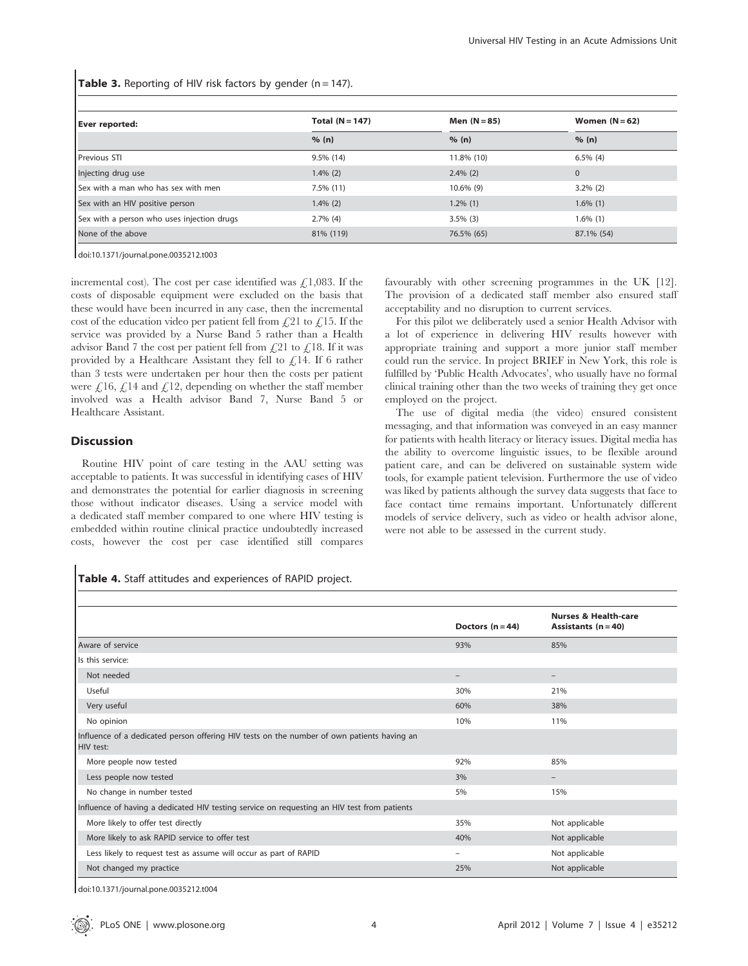Table 3. Reporting of HIV risk factors by gender ( $n = 147$ ).

| Ever reported:                             | Total $(N = 147)$<br>Men $(N = 85)$ |              | Women $(N=62)$ |  |
|--------------------------------------------|-------------------------------------|--------------|----------------|--|
|                                            | % (n)                               | % (n)        | % (n)          |  |
| <b>Previous STI</b>                        | $9.5\%$ (14)                        | 11.8% (10)   | $6.5\%$ (4)    |  |
| Injecting drug use                         | $1.4\%$ (2)                         | $2.4\%$ (2)  | $\mathbf{0}$   |  |
| Sex with a man who has sex with men        | $7.5\%$ (11)                        | $10.6\%$ (9) | $3.2\%$ (2)    |  |
| Sex with an HIV positive person            | $1.4\%$ (2)                         | $1.2\%$ (1)  | $1.6\%$ (1)    |  |
| Sex with a person who uses injection drugs | $2.7\%$ (4)                         | $3.5\%$ (3)  | $1.6\%$ (1)    |  |
| None of the above                          | 81% (119)                           | 76.5% (65)   | 87.1% (54)     |  |

doi:10.1371/journal.pone.0035212.t003

incremental cost). The cost per case identified was  $\mathcal{L}$ 1,083. If the costs of disposable equipment were excluded on the basis that these would have been incurred in any case, then the incremental cost of the education video per patient fell from  $\mathcal{L}21$  to  $\mathcal{L}15$ . If the service was provided by a Nurse Band 5 rather than a Health advisor Band 7 the cost per patient fell from  $\mathcal{L}$ , 21 to  $\mathcal{L}$ , 18. If it was provided by a Healthcare Assistant they fell to  $\mathcal{L}$ 14. If 6 rather than 3 tests were undertaken per hour then the costs per patient were  $\mathcal{L}$ 16,  $\mathcal{L}$ 14 and  $\mathcal{L}$ 12, depending on whether the staff member involved was a Health advisor Band 7, Nurse Band 5 or Healthcare Assistant.

# **Discussion**

Routine HIV point of care testing in the AAU setting was acceptable to patients. It was successful in identifying cases of HIV and demonstrates the potential for earlier diagnosis in screening those without indicator diseases. Using a service model with a dedicated staff member compared to one where HIV testing is embedded within routine clinical practice undoubtedly increased costs, however the cost per case identified still compares favourably with other screening programmes in the UK [12]. The provision of a dedicated staff member also ensured staff acceptability and no disruption to current services.

For this pilot we deliberately used a senior Health Advisor with a lot of experience in delivering HIV results however with appropriate training and support a more junior staff member could run the service. In project BRIEF in New York, this role is fulfilled by 'Public Health Advocates', who usually have no formal clinical training other than the two weeks of training they get once employed on the project.

The use of digital media (the video) ensured consistent messaging, and that information was conveyed in an easy manner for patients with health literacy or literacy issues. Digital media has the ability to overcome linguistic issues, to be flexible around patient care, and can be delivered on sustainable system wide tools, for example patient television. Furthermore the use of video was liked by patients although the survey data suggests that face to face contact time remains important. Unfortunately different models of service delivery, such as video or health advisor alone, were not able to be assessed in the current study.

|  |  |  |  | Table 4. Staff attitudes and experiences of RAPID project. |  |  |
|--|--|--|--|------------------------------------------------------------|--|--|
|--|--|--|--|------------------------------------------------------------|--|--|

|                                                                                                         | Doctors $(n=44)$         | <b>Nurses &amp; Health-care</b><br>Assistants $(n = 40)$ |
|---------------------------------------------------------------------------------------------------------|--------------------------|----------------------------------------------------------|
| Aware of service                                                                                        | 93%                      | 85%                                                      |
| Is this service:                                                                                        |                          |                                                          |
| Not needed                                                                                              |                          | $\overline{\phantom{0}}$                                 |
| Useful                                                                                                  | 30%                      | 21%                                                      |
| Very useful                                                                                             | 60%                      | 38%                                                      |
| No opinion                                                                                              | 10%                      | 11%                                                      |
| Influence of a dedicated person offering HIV tests on the number of own patients having an<br>HIV test: |                          |                                                          |
| More people now tested                                                                                  | 92%                      | 85%                                                      |
| Less people now tested                                                                                  | 3%                       | $\overline{\phantom{m}}$                                 |
| No change in number tested                                                                              | 5%                       | 15%                                                      |
| Influence of having a dedicated HIV testing service on requesting an HIV test from patients             |                          |                                                          |
| More likely to offer test directly                                                                      | 35%                      | Not applicable                                           |
| More likely to ask RAPID service to offer test                                                          | 40%                      | Not applicable                                           |
| Less likely to request test as assume will occur as part of RAPID                                       | $\overline{\phantom{0}}$ | Not applicable                                           |
| Not changed my practice                                                                                 | 25%                      | Not applicable                                           |

doi:10.1371/journal.pone.0035212.t004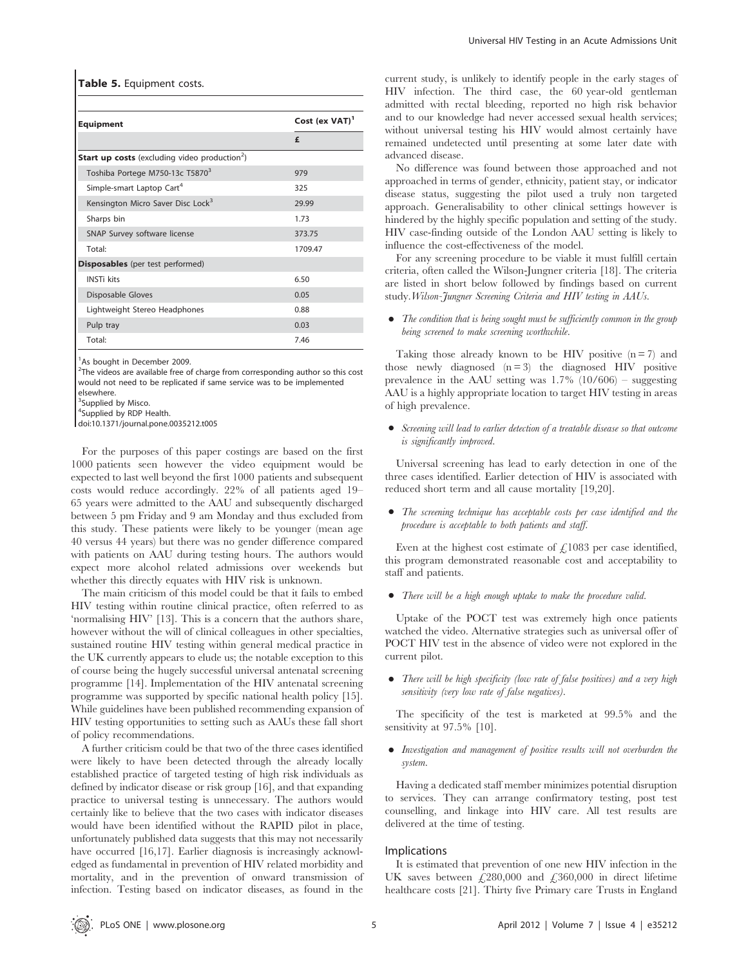# Table 5. Equipment costs.

|                                                                  | Cost (ex $VAT$ ) <sup>1</sup> |
|------------------------------------------------------------------|-------------------------------|
| <b>Equipment</b>                                                 |                               |
|                                                                  | £                             |
| <b>Start up costs</b> (excluding video production <sup>2</sup> ) |                               |
| Toshiba Portege M750-13c T5870 <sup>3</sup>                      | 979                           |
| Simple-smart Laptop Cart <sup>4</sup>                            | 325                           |
| Kensington Micro Saver Disc Lock <sup>3</sup>                    | 29.99                         |
| Sharps bin                                                       | 1.73                          |
| SNAP Survey software license                                     | 373.75                        |
| Total:                                                           | 1709.47                       |
| <b>Disposables</b> (per test performed)                          |                               |
| <b>INSTi kits</b>                                                | 6.50                          |
| Disposable Gloves                                                | 0.05                          |
| Lightweight Stereo Headphones                                    | 0.88                          |
| Pulp tray                                                        | 0.03                          |
| Total:                                                           | 7.46                          |

<sup>1</sup>As bought in December 2009.

<sup>2</sup>The videos are available free of charge from corresponding author so this cost would not need to be replicated if same service was to be implemented elsewhere.

<sup>3</sup>Supplied by Misco.

4 Supplied by RDP Health.

doi:10.1371/journal.pone.0035212.t005

For the purposes of this paper costings are based on the first 1000 patients seen however the video equipment would be expected to last well beyond the first 1000 patients and subsequent costs would reduce accordingly. 22% of all patients aged 19– 65 years were admitted to the AAU and subsequently discharged between 5 pm Friday and 9 am Monday and thus excluded from this study. These patients were likely to be younger (mean age 40 versus 44 years) but there was no gender difference compared with patients on AAU during testing hours. The authors would expect more alcohol related admissions over weekends but whether this directly equates with HIV risk is unknown.

The main criticism of this model could be that it fails to embed HIV testing within routine clinical practice, often referred to as 'normalising HIV' [13]. This is a concern that the authors share, however without the will of clinical colleagues in other specialties, sustained routine HIV testing within general medical practice in the UK currently appears to elude us; the notable exception to this of course being the hugely successful universal antenatal screening programme [14]. Implementation of the HIV antenatal screening programme was supported by specific national health policy [15]. While guidelines have been published recommending expansion of HIV testing opportunities to setting such as AAUs these fall short of policy recommendations.

A further criticism could be that two of the three cases identified were likely to have been detected through the already locally established practice of targeted testing of high risk individuals as defined by indicator disease or risk group [16], and that expanding practice to universal testing is unnecessary. The authors would certainly like to believe that the two cases with indicator diseases would have been identified without the RAPID pilot in place, unfortunately published data suggests that this may not necessarily have occurred [16,17]. Earlier diagnosis is increasingly acknowledged as fundamental in prevention of HIV related morbidity and mortality, and in the prevention of onward transmission of infection. Testing based on indicator diseases, as found in the current study, is unlikely to identify people in the early stages of HIV infection. The third case, the 60 year-old gentleman admitted with rectal bleeding, reported no high risk behavior and to our knowledge had never accessed sexual health services; without universal testing his HIV would almost certainly have remained undetected until presenting at some later date with advanced disease.

No difference was found between those approached and not approached in terms of gender, ethnicity, patient stay, or indicator disease status, suggesting the pilot used a truly non targeted approach. Generalisability to other clinical settings however is hindered by the highly specific population and setting of the study. HIV case-finding outside of the London AAU setting is likely to influence the cost-effectiveness of the model.

For any screening procedure to be viable it must fulfill certain criteria, often called the Wilson-Jungner criteria [18]. The criteria are listed in short below followed by findings based on current study. Wilson-Jungner Screening Criteria and HIV testing in AAUs.

• The condition that is being sought must be sufficiently common in the group being screened to make screening worthwhile.

Taking those already known to be HIV positive  $(n = 7)$  and those newly diagnosed  $(n = 3)$  the diagnosed HIV positive prevalence in the AAU setting was  $1.7\%$  (10/606) – suggesting AAU is a highly appropriate location to target HIV testing in areas of high prevalence.

• Screening will lead to earlier detection of a treatable disease so that outcome is significantly improved.

Universal screening has lead to early detection in one of the three cases identified. Earlier detection of HIV is associated with reduced short term and all cause mortality [19,20].

• The screening technique has acceptable costs per case identified and the procedure is acceptable to both patients and staff.

Even at the highest cost estimate of  $\ell$ 1083 per case identified, this program demonstrated reasonable cost and acceptability to staff and patients.

• There will be a high enough uptake to make the procedure valid.

Uptake of the POCT test was extremely high once patients watched the video. Alternative strategies such as universal offer of POCT HIV test in the absence of video were not explored in the current pilot.

There will be high specificity (low rate of false positives) and a very high sensitivity (very low rate of false negatives).

The specificity of the test is marketed at 99.5% and the sensitivity at 97.5% [10].

• Investigation and management of positive results will not overburden the system.

Having a dedicated staff member minimizes potential disruption to services. They can arrange confirmatory testing, post test counselling, and linkage into HIV care. All test results are delivered at the time of testing.

## Implications

It is estimated that prevention of one new HIV infection in the UK saves between  $£280,000$  and  $£360,000$  in direct lifetime healthcare costs [21]. Thirty five Primary care Trusts in England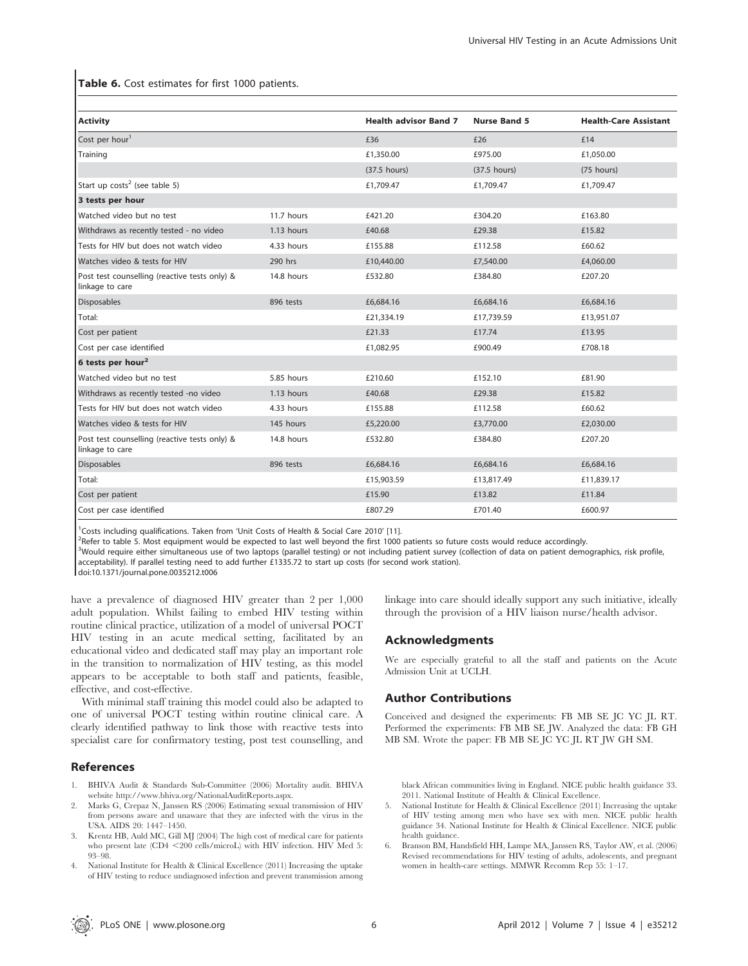Table 6. Cost estimates for first 1000 patients.

| <b>Activity</b>                                                  |              | <b>Health advisor Band 7</b> | <b>Nurse Band 5</b> | <b>Health-Care Assistant</b> |
|------------------------------------------------------------------|--------------|------------------------------|---------------------|------------------------------|
| Cost per hour <sup>1</sup>                                       |              | £36                          | £26                 | £14                          |
| Training                                                         |              | £1,350.00                    | £975.00             | £1,050.00                    |
|                                                                  |              | $(37.5$ hours)               | $(37.5$ hours)      | (75 hours)                   |
| Start up costs <sup>2</sup> (see table 5)                        |              | £1,709.47                    | £1,709.47           | £1,709.47                    |
| 3 tests per hour                                                 |              |                              |                     |                              |
| Watched video but no test                                        | 11.7 hours   | £421.20                      | £304.20             | £163.80                      |
| Withdraws as recently tested - no video                          | 1.13 hours   | £40.68                       | £29.38              | £15.82                       |
| Tests for HIV but does not watch video                           | 4.33 hours   | £155.88                      | £112.58             | £60.62                       |
| Watches video & tests for HIV                                    | 290 hrs      | £10,440.00                   | £7,540.00           | £4,060.00                    |
| Post test counselling (reactive tests only) &<br>linkage to care | 14.8 hours   | £532.80                      | £384.80             | £207.20                      |
| <b>Disposables</b>                                               | 896 tests    | £6,684.16                    | £6,684.16           | £6,684.16                    |
| Total:                                                           |              | £21,334.19                   | £17,739.59          | £13,951.07                   |
| Cost per patient                                                 |              | £21.33                       | £17.74              | £13.95                       |
| Cost per case identified                                         |              | £1,082.95                    | £900.49             | £708.18                      |
| 6 tests per hour <sup>2</sup>                                    |              |                              |                     |                              |
| Watched video but no test                                        | 5.85 hours   | £210.60                      | £152.10             | £81.90                       |
| Withdraws as recently tested -no video                           | $1.13$ hours | £40.68                       | £29.38              | £15.82                       |
| Tests for HIV but does not watch video                           | 4.33 hours   | £155.88                      | £112.58             | £60.62                       |
| Watches video & tests for HIV                                    | 145 hours    | £5,220.00                    | £3,770.00           | £2,030.00                    |
| Post test counselling (reactive tests only) &<br>linkage to care | 14.8 hours   | £532.80                      | £384.80             | £207.20                      |
| <b>Disposables</b>                                               | 896 tests    | £6,684.16                    | £6,684.16           | £6,684.16                    |
| Total:                                                           |              | £15,903.59                   | £13,817.49          | £11,839.17                   |
| Cost per patient                                                 |              | £15.90                       | £13.82              | £11.84                       |
| Cost per case identified                                         |              | £807.29                      | £701.40             | £600.97                      |

<sup>1</sup>Costs including qualifications. Taken from 'Unit Costs of Health & Social Care 2010' [11].

<sup>2</sup> Refer to table 5. Most equipment would be expected to last well beyond the first 1000 patients so future costs would reduce accordingly.

<sup>3</sup>Would require either simultaneous use of two laptops (parallel testing) or not including patient survey (collection of data on patient demographics, risk profile, acceptability). If parallel testing need to add further £1335.72 to start up costs (for second work station).

doi:10.1371/journal.pone.0035212.t006

have a prevalence of diagnosed HIV greater than 2 per 1,000 adult population. Whilst failing to embed HIV testing within routine clinical practice, utilization of a model of universal POCT HIV testing in an acute medical setting, facilitated by an educational video and dedicated staff may play an important role in the transition to normalization of HIV testing, as this model appears to be acceptable to both staff and patients, feasible, effective, and cost-effective.

With minimal staff training this model could also be adapted to one of universal POCT testing within routine clinical care. A clearly identified pathway to link those with reactive tests into specialist care for confirmatory testing, post test counselling, and

# References

- 1. BHIVA Audit & Standards Sub-Committee (2006) Mortality audit. BHIVA website http://www.bhiva.org/NationalAuditReports.aspx.
- 2. Marks G, Crepaz N, Janssen RS (2006) Estimating sexual transmission of HIV from persons aware and unaware that they are infected with the virus in the USA. AIDS 20: 1447–1450.
- 3. Krentz HB, Auld MC, Gill MJ (2004) The high cost of medical care for patients who present late  $(CD4 \leq 200 \text{ cells/microL})$  with HIV infection. HIV Med 5: 93–98.
- 4. National Institute for Health & Clinical Excellence (2011) Increasing the uptake of HIV testing to reduce undiagnosed infection and prevent transmission among

linkage into care should ideally support any such initiative, ideally through the provision of a HIV liaison nurse/health advisor.

## Acknowledgments

We are especially grateful to all the staff and patients on the Acute Admission Unit at UCLH.

# Author Contributions

Conceived and designed the experiments: FB MB SE JC YC JL RT. Performed the experiments: FB MB SE JW. Analyzed the data: FB GH MB SM. Wrote the paper: FB MB SE JC YC JL RT JW GH SM.

black African communities living in England. NICE public health guidance 33. 2011. National Institute of Health & Clinical Excellence.

- 5. National Institute for Health & Clinical Excellence (2011) Increasing the uptake of HIV testing among men who have sex with men. NICE public health guidance 34. National Institute for Health & Clinical Excellence. NICE public health guidance.
- 6. Branson BM, Handsfield HH, Lampe MA, Janssen RS, Taylor AW, et al. (2006) Revised recommendations for HIV testing of adults, adolescents, and pregnant women in health-care settings. MMWR Recomm Rep 55: 1–17.